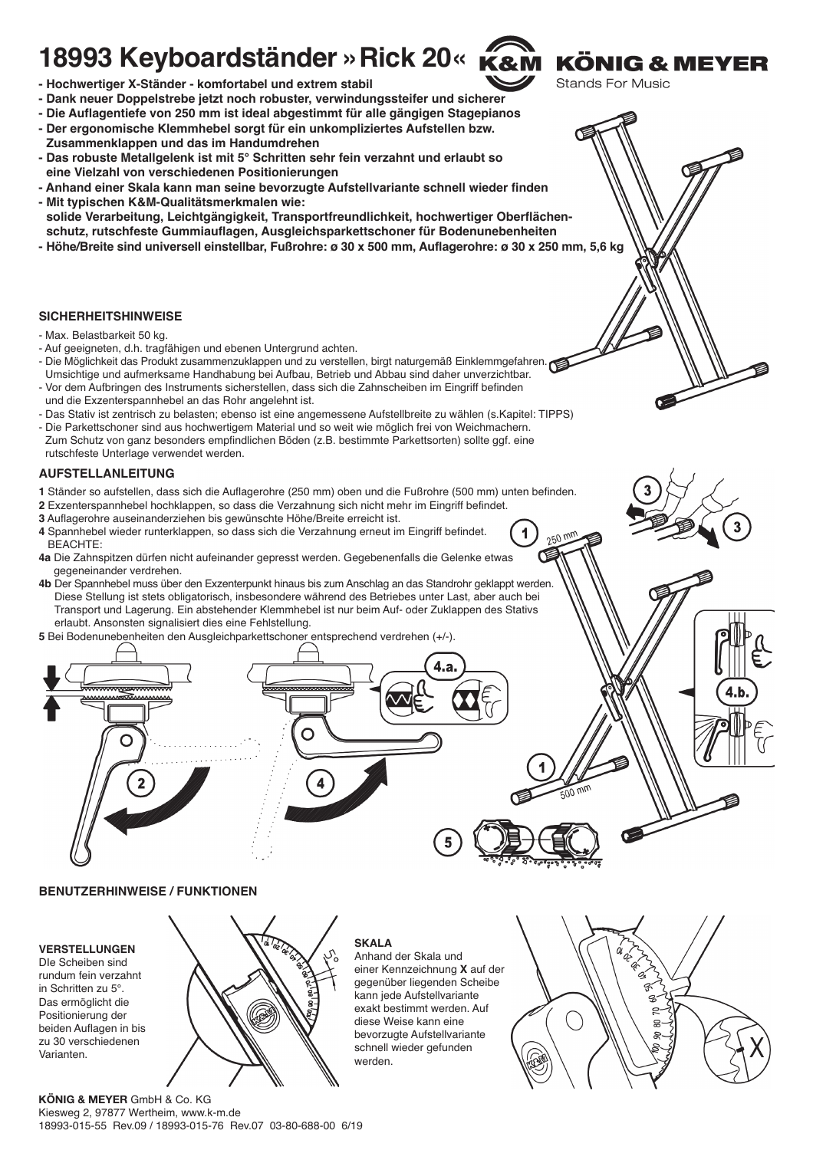# **18993 Keyboardständer »Rick 20«**

- **Hochwertiger X-Ständer komfortabel und extrem stabil**
- **Dank neuer Doppelstrebe jetzt noch robuster, verwindungssteifer und sicherer**
- **Die Auflagentiefe von 250 mm ist ideal abgestimmt für alle gängigen Stagepianos**
- **Der ergonomische Klemmhebel sorgt für ein unkompliziertes Aufstellen bzw.**
- **Zusammenklappen und das im Handumdrehen**
- **Das robuste Metallgelenk ist mit 5° Schritten sehr fein verzahnt und erlaubt so - eine Vielzahl von verschiedenen Positionierungen**
- **Anhand einer Skala kann man seine bevorzugte Aufstellvariante schnell wieder finden - Mit typischen K&M-Qualitätsmerkmalen wie:**
- **solide Verarbeitung, Leichtgängigkeit, Transportfreundlichkeit, hochwertiger Oberflächen- - schutz, rutschfeste Gummiauflagen, Ausgleichsparkettschoner für Bodenunebenheiten**
- **Höhe/Breite sind universell einstellbar, Fußrohre: ø 30 x 500 mm, Auflagerohre: ø 30 x 250 mm, 5,6 kg**

#### **SICHERHEITSHINWEISE**

- Max. Belastbarkeit 50 kg.
- Auf geeigneten, d.h. tragfähigen und ebenen Untergrund achten.
- Die Möglichkeit das Produkt zusammenzuklappen und zu verstellen, birgt naturgemäß Einklemmgefahren. - Umsichtige und aufmerksame Handhabung bei Aufbau, Betrieb und Abbau sind daher unverzichtbar.
- Vor dem Aufbringen des Instruments sicherstellen, dass sich die Zahnscheiben im Eingriff befinden und die Exzenterspannhebel an das Rohr angelehnt ist.
- Das Stativ ist zentrisch zu belasten; ebenso ist eine angemessene Aufstellbreite zu wählen (s.Kapitel: TIPPS)
- Die Parkettschoner sind aus hochwertigem Material und so weit wie möglich frei von Weichmachern. Zum Schutz von ganz besonders empfindlichen Böden (z.B. bestimmte Parkettsorten) sollte ggf. eine rutschfeste Unterlage verwendet werden.

#### **AUFSTELLANLEITUNG**

- **1** Ständer so aufstellen, dass sich die Auflagerohre (250 mm) oben und die Fußrohre (500 mm) unten befinden.
- **2** Exzenterspannhebel hochklappen, so dass die Verzahnung sich nicht mehr im Eingriff befindet.
- **3** Auflagerohre auseinanderziehen bis gewünschte Höhe/Breite erreicht ist.
- **4** Spannhebel wieder runterklappen, so dass sich die Verzahnung erneut im Eingriff befindet. **4** BEACHTE:
- **4a** Die Zahnspitzen dürfen nicht aufeinander gepresst werden. Gegebenenfalls die Gelenke etwas **4a** gegeneinander verdrehen.
- **4b** Der Spannhebel muss über den Exzenterpunkt hinaus bis zum Anschlag an das Standrohr geklappt werden. **4b** Diese Stellung ist stets obligatorisch, insbesondere während des Betriebes unter Last, aber auch bei **4b** Transport und Lagerung. Ein abstehender Klemmhebel ist nur beim Auf- oder Zuklappen des Stativs **4b** erlaubt. Ansonsten signalisiert dies eine Fehlstellung.
- **5** Bei Bodenunebenheiten den Ausgleichparkettschoner entsprechend verdrehen (+/-).

# **BENUTZERHINWEISE / FUNKTIONEN**

wwwww

⊂

# **VERSTELLUNGEN**

DIe Scheiben sind rundum fein verzahnt in Schritten zu 5°. Das ermöglicht die Positionierung der beiden Auflagen in bis zu 30 verschiedenen Varianten.



# **SKALA**

Anhand der Skala und einer Kennzeichnung **X** auf der gegenüber liegenden Scheibe kann jede Aufstellvariante exakt bestimmt werden. Auf diese Weise kann eine bevorzugte Aufstellvariante schnell wieder gefunden werden.



**KÖNIG & MEYER** 

**Stands For Music** 

250 mm

**KÖNIG & MEYER** GmbH & Co. KG Kiesweg 2, 97877 Wertheim, www.k-m.de 18993-015-55 Rev.09 / 18993-015-76 Rev.07 03-80-688-00 6/19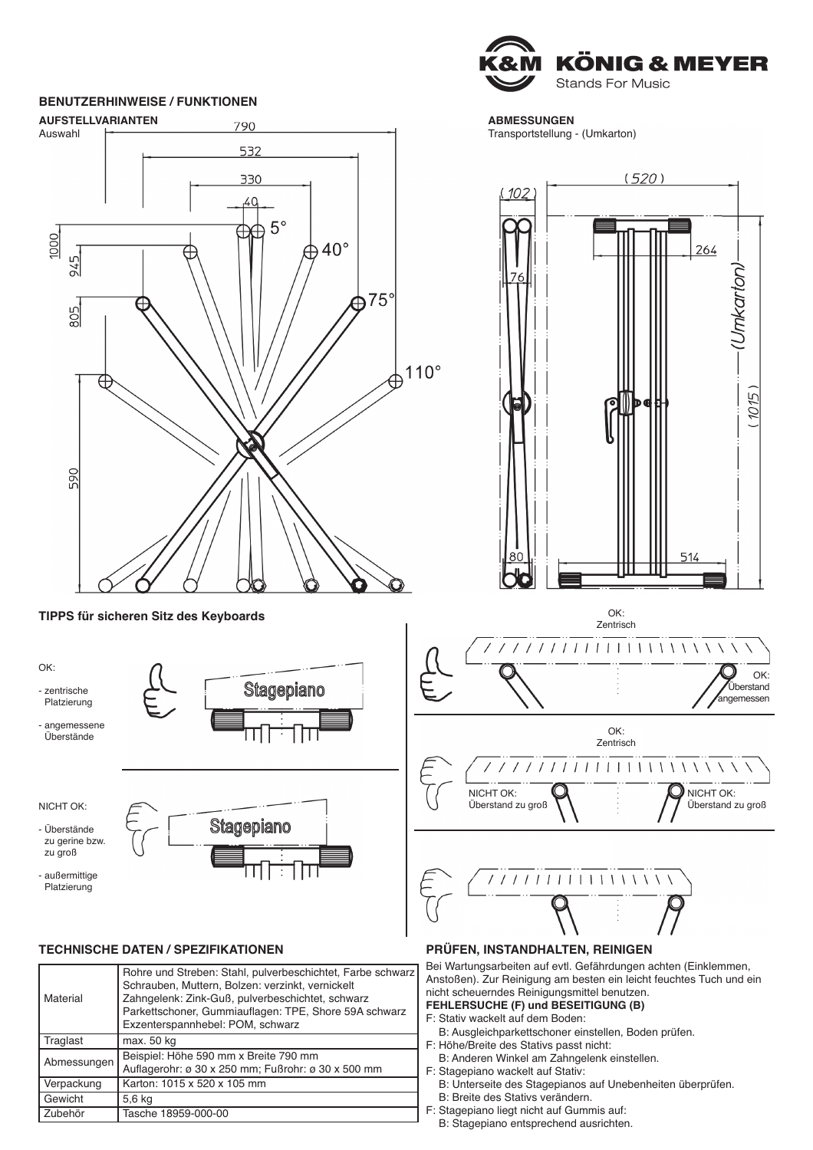# **BENUTZERHINWEISE / FUNKTIONEN**



**TIPPS für sicheren Sitz des Keyboards**

OK: - zentrische Platzierung - angemessene - Überstände

NICHT OK:

- Überstände zu gerine bzw. zu groß

- außermittige - Platzierung



Stagepiano

# **TECHNISCHE DATEN / SPEZIFIKATIONEN**

| Traglast<br>Abmessungen | max. 50 kg<br>Beispiel: Höhe 590 mm x Breite 790 mm<br>Auflagerohr: ø 30 x 250 mm; Fußrohr: ø 30 x 500 mm |
|-------------------------|-----------------------------------------------------------------------------------------------------------|
| Verpackung              | Karton: 1015 x 520 x 105 mm                                                                               |
| Gewicht                 | 5,6 kg                                                                                                    |
| Zubehör                 | Tasche 18959-000-00                                                                                       |



**ABMESSUNGEN**

Transportstellung - (Umkarton)



#### **PRÜFEN, INSTANDHALTEN, REINIGEN**

Bei Wartungsarbeiten auf evtl. Gefährdungen achten (Einklemmen, Anstoßen). Zur Reinigung am besten ein leicht feuchtes Tuch und ein nicht scheuerndes Reinigungsmittel benutzen. **FEHLERSUCHE (F) und BESEITIGUNG (B)**

F: Stativ wackelt auf dem Boden:

- F: B: Ausgleichparkettschoner einstellen, Boden prüfen.
- F: Höhe/Breite des Stativs passt nicht:
	- F: B: Anderen Winkel am Zahngelenk einstellen.
- F: Stagepiano wackelt auf Stativ:
	- F: B: Unterseite des Stagepianos auf Unebenheiten überprüfen.
- B: Breite des Stativs verändern. F: Stagepiano liegt nicht auf Gummis auf:
	- F: B: Stagepiano entsprechend ausrichten.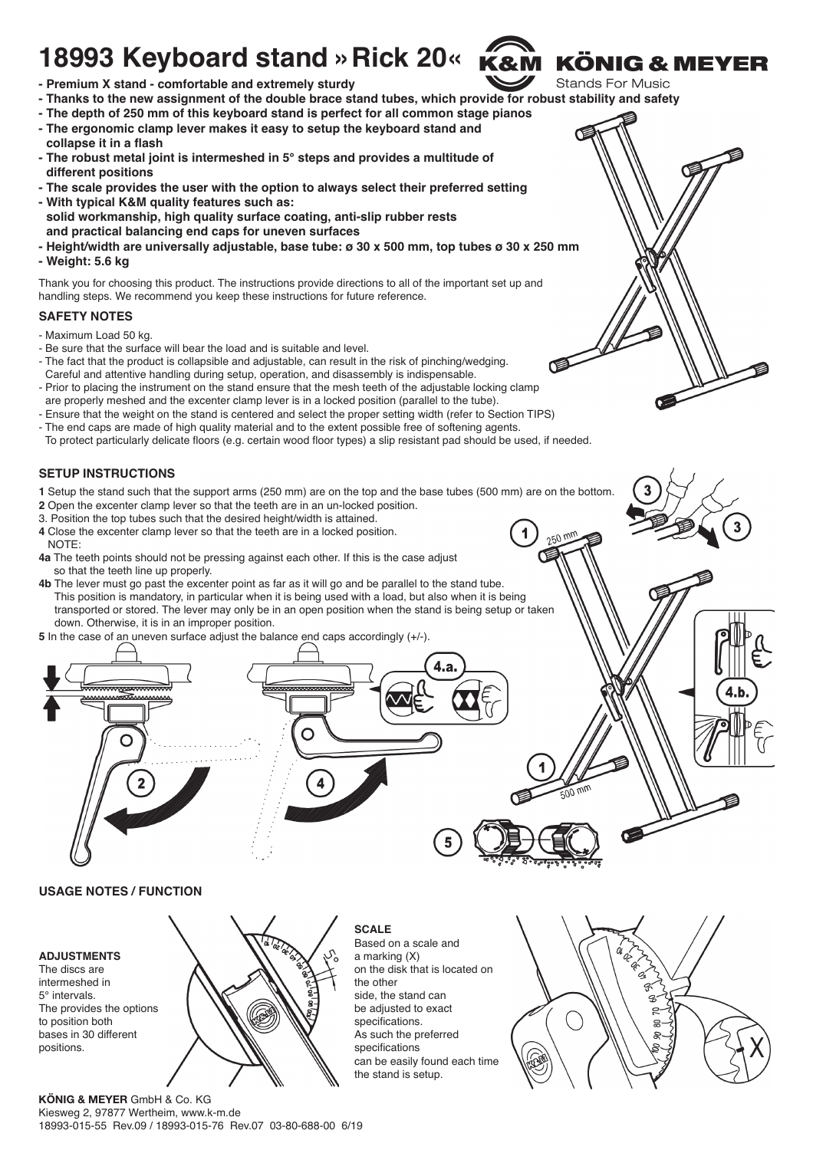# **18993 Keyboard stand »Rick 20«**



 $250$ 

- **Premium X stand comfortable and extremely sturdy**
- **Thanks to the new assignment of the double brace stand tubes, which provide for robust stability and safety**
- **The depth of 250 mm of this keyboard stand is perfect for all common stage pianos**
- **The ergonomic clamp lever makes it easy to setup the keyboard stand and - collapse it in a flash**
- **The robust metal joint is intermeshed in 5° steps and provides a multitude of - different positions**
- **The scale provides the user with the option to always select their preferred setting - With typical K&M quality features such as:**
- **solid workmanship, high quality surface coating, anti-slip rubber rests - and practical balancing end caps for uneven surfaces**
- **Height/width are universally adjustable, base tube: ø 30 x 500 mm, top tubes ø 30 x 250 mm - Weight: 5.6 kg**

Thank you for choosing this product. The instructions provide directions to all of the important set up and handling steps. We recommend you keep these instructions for future reference.

### **SAFETY NOTES**

- Maximum Load 50 kg.
- Be sure that the surface will bear the load and is suitable and level.
- The fact that the product is collapsible and adjustable, can result in the risk of pinching/wedging. Careful and attentive handling during setup, operation, and disassembly is indispensable.
- Prior to placing the instrument on the stand ensure that the mesh teeth of the adjustable locking clamp are properly meshed and the excenter clamp lever is in a locked position (parallel to the tube).
- Ensure that the weight on the stand is centered and select the proper setting width (refer to Section TIPS)
- The end caps are made of high quality material and to the extent possible free of softening agents.
- To protect particularly delicate floors (e.g. certain wood floor types) a slip resistant pad should be used, if needed.

### **SETUP INSTRUCTIONS**

- **1** Setup the stand such that the support arms (250 mm) are on the top and the base tubes (500 mm) are on the bottom.
- **2** Open the excenter clamp lever so that the teeth are in an un-locked position.
- 3. Position the top tubes such that the desired height/width is attained.
- **4** Close the excenter clamp lever so that the teeth are in a locked position. **4** NOTE:
- **4a** The teeth points should not be pressing against each other. If this is the case adjust **4a** so that the teeth line up properly.
- **4b** The lever must go past the excenter point as far as it will go and be parallel to the stand tube. **4b** This position is mandatory, in particular when it is being used with a load, but also when it is being transported or stored. The lever may only be in an open position when the stand is being setup or taken **4b** down. Otherwise, it is in an improper position.
- 



**SCALE**

the other

Based on a scale and a marking (X)

side, the stand can be adjusted to exact specifications. As such the preferred specifications

the stand is setup.

# **USAGE NOTES / FUNCTION**

#### **ADJUSTMENTS** The discs are

intermeshed in 5° intervals. The provides the options to position both bases in 30 different positions.



**KÖNIG & MEYER** GmbH & Co. KG Kiesweg 2, 97877 Wertheim, www.k-m.de 18993-015-55 Rev.09 / 18993-015-76 Rev.07 03-80-688-00 6/19

![](_page_2_Picture_33.jpeg)

**KÖNIG & MEYER Stands For Music**